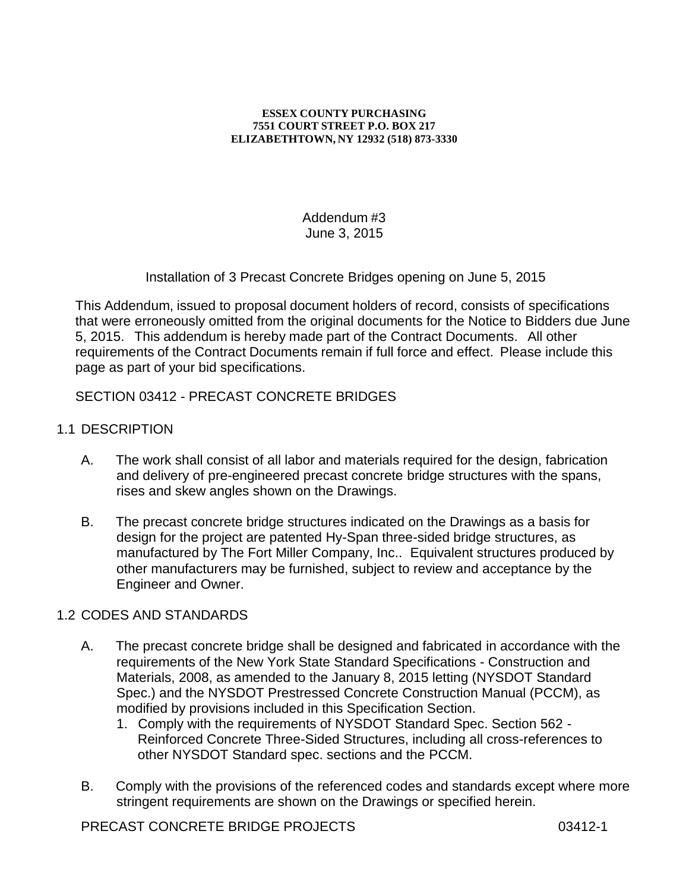#### **ESSEX COUNTY PURCHASING 7551 COURT STREET P.O. BOX 217 ELIZABETHTOWN, NY 12932 (518) 873-3330**

Addendum #3 June 3, 2015

Installation of 3 Precast Concrete Bridges opening on June 5, 2015

This Addendum, issued to proposal document holders of record, consists of specifications that were erroneously omitted from the original documents for the Notice to Bidders due June 5, 2015. This addendum is hereby made part of the Contract Documents. All other requirements of the Contract Documents remain if full force and effect. Please include this page as part of your bid specifications.

# SECTION 03412 - PRECAST CONCRETE BRIDGES

- 1.1 DESCRIPTION
	- A. The work shall consist of all labor and materials required for the design, fabrication and delivery of pre-engineered precast concrete bridge structures with the spans, rises and skew angles shown on the Drawings.
	- B. The precast concrete bridge structures indicated on the Drawings as a basis for design for the project are patented Hy-Span three-sided bridge structures, as manufactured by The Fort Miller Company, Inc.. Equivalent structures produced by other manufacturers may be furnished, subject to review and acceptance by the Engineer and Owner.

### 1.2 CODES AND STANDARDS

- A. The precast concrete bridge shall be designed and fabricated in accordance with the requirements of the New York State Standard Specifications - Construction and Materials, 2008, as amended to the January 8, 2015 letting (NYSDOT Standard Spec.) and the NYSDOT Prestressed Concrete Construction Manual (PCCM), as modified by provisions included in this Specification Section.
	- 1. Comply with the requirements of NYSDOT Standard Spec. Section 562 Reinforced Concrete Three-Sided Structures, including all cross-references to other NYSDOT Standard spec. sections and the PCCM.
- B. Comply with the provisions of the referenced codes and standards except where more stringent requirements are shown on the Drawings or specified herein.

PRECAST CONCRETE BRIDGE PROJECTS 03412-1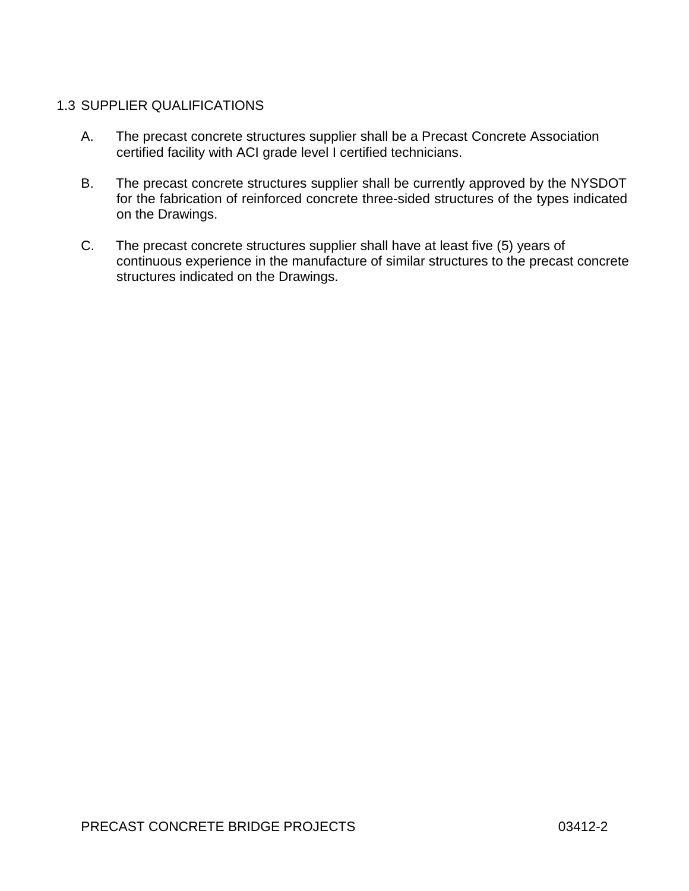# 1.3 SUPPLIER QUALIFICATIONS

- A. The precast concrete structures supplier shall be a Precast Concrete Association certified facility with ACI grade level I certified technicians.
- B. The precast concrete structures supplier shall be currently approved by the NYSDOT for the fabrication of reinforced concrete three-sided structures of the types indicated on the Drawings.
- C. The precast concrete structures supplier shall have at least five (5) years of continuous experience in the manufacture of similar structures to the precast concrete structures indicated on the Drawings.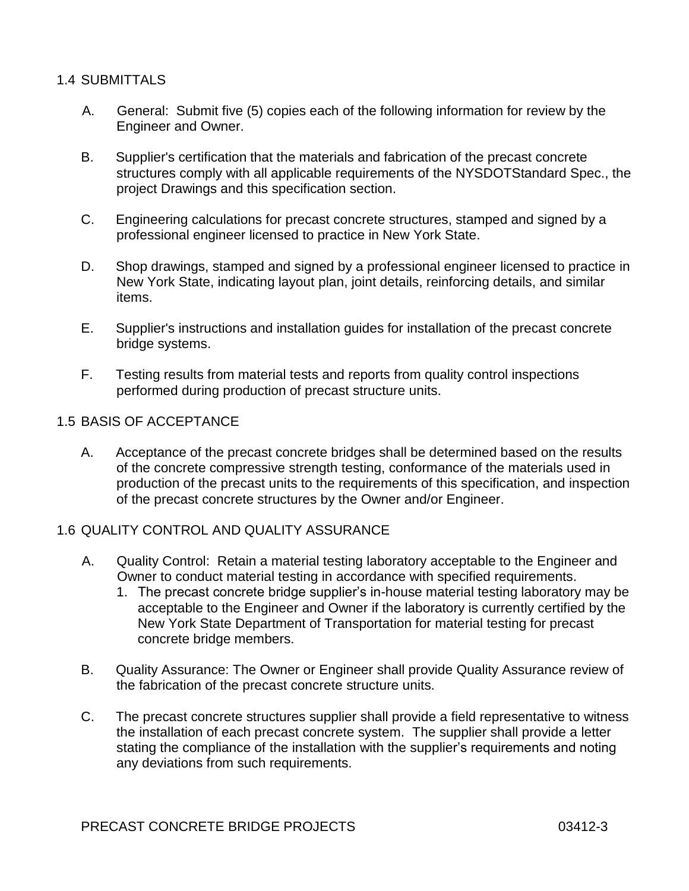### 1.4 SUBMITTALS

- A. General: Submit five (5) copies each of the following information for review by the Engineer and Owner.
- B. Supplier's certification that the materials and fabrication of the precast concrete structures comply with all applicable requirements of the NYSDOTStandard Spec., the project Drawings and this specification section.
- C. Engineering calculations for precast concrete structures, stamped and signed by a professional engineer licensed to practice in New York State.
- D. Shop drawings, stamped and signed by a professional engineer licensed to practice in New York State, indicating layout plan, joint details, reinforcing details, and similar items.
- E. Supplier's instructions and installation guides for installation of the precast concrete bridge systems.
- F. Testing results from material tests and reports from quality control inspections performed during production of precast structure units.

### 1.5 BASIS OF ACCEPTANCE

A. Acceptance of the precast concrete bridges shall be determined based on the results of the concrete compressive strength testing, conformance of the materials used in production of the precast units to the requirements of this specification, and inspection of the precast concrete structures by the Owner and/or Engineer.

#### 1.6 QUALITY CONTROL AND QUALITY ASSURANCE

- A. Quality Control: Retain a material testing laboratory acceptable to the Engineer and Owner to conduct material testing in accordance with specified requirements.
	- 1. The precast concrete bridge supplier's in-house material testing laboratory may be acceptable to the Engineer and Owner if the laboratory is currently certified by the New York State Department of Transportation for material testing for precast concrete bridge members.
- B. Quality Assurance: The Owner or Engineer shall provide Quality Assurance review of the fabrication of the precast concrete structure units.
- C. The precast concrete structures supplier shall provide a field representative to witness the installation of each precast concrete system. The supplier shall provide a letter stating the compliance of the installation with the supplier's requirements and noting any deviations from such requirements.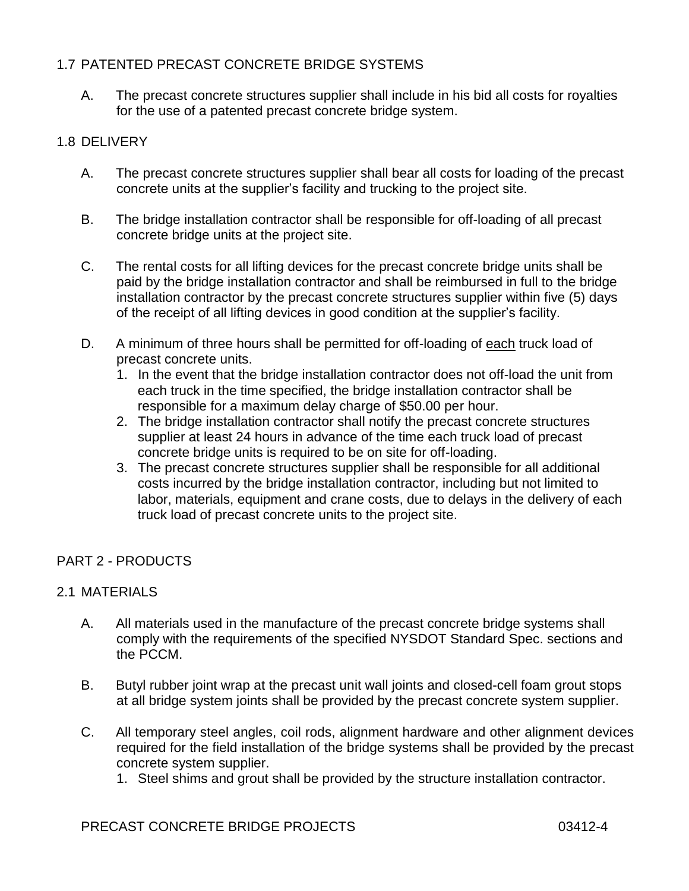# 1.7 PATENTED PRECAST CONCRETE BRIDGE SYSTEMS

A. The precast concrete structures supplier shall include in his bid all costs for royalties for the use of a patented precast concrete bridge system.

# 1.8 DELIVERY

- A. The precast concrete structures supplier shall bear all costs for loading of the precast concrete units at the supplier's facility and trucking to the project site.
- B. The bridge installation contractor shall be responsible for off-loading of all precast concrete bridge units at the project site.
- C. The rental costs for all lifting devices for the precast concrete bridge units shall be paid by the bridge installation contractor and shall be reimbursed in full to the bridge installation contractor by the precast concrete structures supplier within five (5) days of the receipt of all lifting devices in good condition at the supplier's facility.
- D. A minimum of three hours shall be permitted for off-loading of each truck load of precast concrete units.
	- 1. In the event that the bridge installation contractor does not off-load the unit from each truck in the time specified, the bridge installation contractor shall be responsible for a maximum delay charge of \$50.00 per hour.
	- 2. The bridge installation contractor shall notify the precast concrete structures supplier at least 24 hours in advance of the time each truck load of precast concrete bridge units is required to be on site for off-loading.
	- 3. The precast concrete structures supplier shall be responsible for all additional costs incurred by the bridge installation contractor, including but not limited to labor, materials, equipment and crane costs, due to delays in the delivery of each truck load of precast concrete units to the project site.

# PART 2 - PRODUCTS

### 2.1 MATERIALS

- A. All materials used in the manufacture of the precast concrete bridge systems shall comply with the requirements of the specified NYSDOT Standard Spec. sections and the PCCM.
- B. Butyl rubber joint wrap at the precast unit wall joints and closed-cell foam grout stops at all bridge system joints shall be provided by the precast concrete system supplier.
- C. All temporary steel angles, coil rods, alignment hardware and other alignment devices required for the field installation of the bridge systems shall be provided by the precast concrete system supplier.
	- 1. Steel shims and grout shall be provided by the structure installation contractor.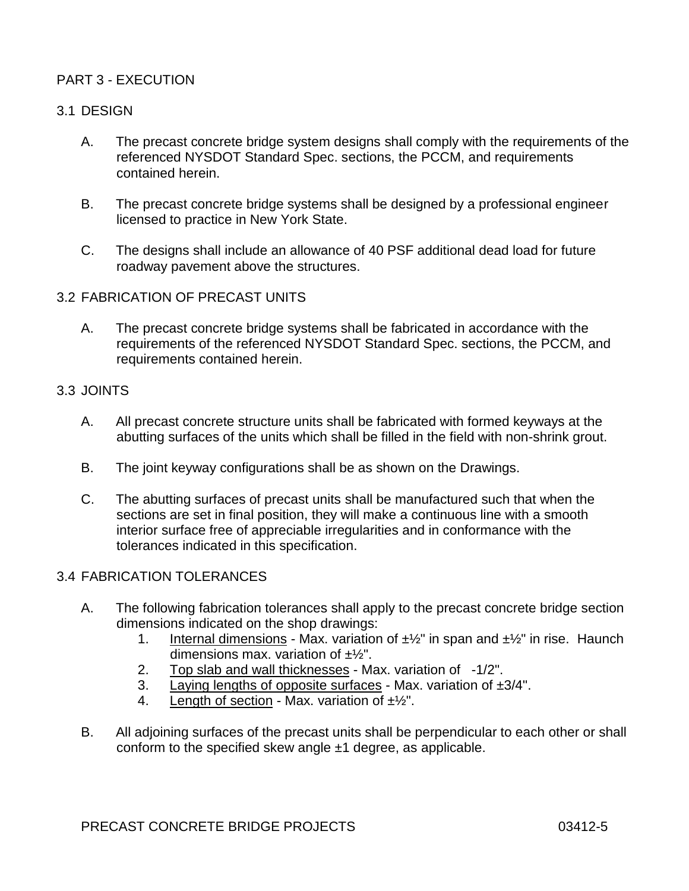# PART 3 - EXECUTION

# 3.1 DESIGN

- A. The precast concrete bridge system designs shall comply with the requirements of the referenced NYSDOT Standard Spec. sections, the PCCM, and requirements contained herein.
- B. The precast concrete bridge systems shall be designed by a professional engineer licensed to practice in New York State.
- C. The designs shall include an allowance of 40 PSF additional dead load for future roadway pavement above the structures.

### 3.2 FABRICATION OF PRECAST UNITS

A. The precast concrete bridge systems shall be fabricated in accordance with the requirements of the referenced NYSDOT Standard Spec. sections, the PCCM, and requirements contained herein.

#### 3.3 JOINTS

- A. All precast concrete structure units shall be fabricated with formed keyways at the abutting surfaces of the units which shall be filled in the field with non-shrink grout.
- B. The joint keyway configurations shall be as shown on the Drawings.
- C. The abutting surfaces of precast units shall be manufactured such that when the sections are set in final position, they will make a continuous line with a smooth interior surface free of appreciable irregularities and in conformance with the tolerances indicated in this specification.

### 3.4 FABRICATION TOLERANCES

- A. The following fabrication tolerances shall apply to the precast concrete bridge section dimensions indicated on the shop drawings:
	- 1. Internal dimensions Max. variation of  $\pm\frac{1}{2}$ " in span and  $\pm\frac{1}{2}$ " in rise. Haunch dimensions max. variation of  $\pm\frac{1}{2}$ ".
	- 2. Top slab and wall thicknesses Max. variation of -1/2".
	- 3. Laying lengths of opposite surfaces Max. variation of  $\pm 3/4$ ".
	- 4. Length of section Max. variation of  $\pm\frac{1}{2}$ ".
- B. All adjoining surfaces of the precast units shall be perpendicular to each other or shall conform to the specified skew angle  $\pm 1$  degree, as applicable.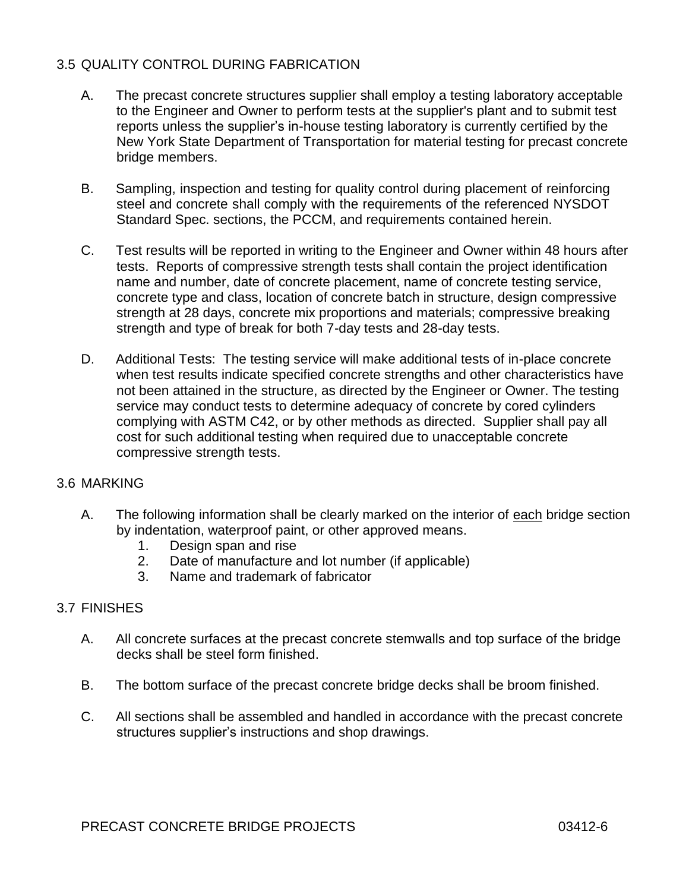# 3.5 QUALITY CONTROL DURING FABRICATION

- A. The precast concrete structures supplier shall employ a testing laboratory acceptable to the Engineer and Owner to perform tests at the supplier's plant and to submit test reports unless the supplier's in-house testing laboratory is currently certified by the New York State Department of Transportation for material testing for precast concrete bridge members.
- B. Sampling, inspection and testing for quality control during placement of reinforcing steel and concrete shall comply with the requirements of the referenced NYSDOT Standard Spec. sections, the PCCM, and requirements contained herein.
- C. Test results will be reported in writing to the Engineer and Owner within 48 hours after tests. Reports of compressive strength tests shall contain the project identification name and number, date of concrete placement, name of concrete testing service, concrete type and class, location of concrete batch in structure, design compressive strength at 28 days, concrete mix proportions and materials; compressive breaking strength and type of break for both 7-day tests and 28-day tests.
- D. Additional Tests: The testing service will make additional tests of in-place concrete when test results indicate specified concrete strengths and other characteristics have not been attained in the structure, as directed by the Engineer or Owner. The testing service may conduct tests to determine adequacy of concrete by cored cylinders complying with ASTM C42, or by other methods as directed. Supplier shall pay all cost for such additional testing when required due to unacceptable concrete compressive strength tests.

### 3.6 MARKING

- A. The following information shall be clearly marked on the interior of each bridge section by indentation, waterproof paint, or other approved means.
	- 1. Design span and rise
	- 2. Date of manufacture and lot number (if applicable)
	- 3. Name and trademark of fabricator

### 3.7 FINISHES

- A. All concrete surfaces at the precast concrete stemwalls and top surface of the bridge decks shall be steel form finished.
- B. The bottom surface of the precast concrete bridge decks shall be broom finished.
- C. All sections shall be assembled and handled in accordance with the precast concrete structures supplier's instructions and shop drawings.